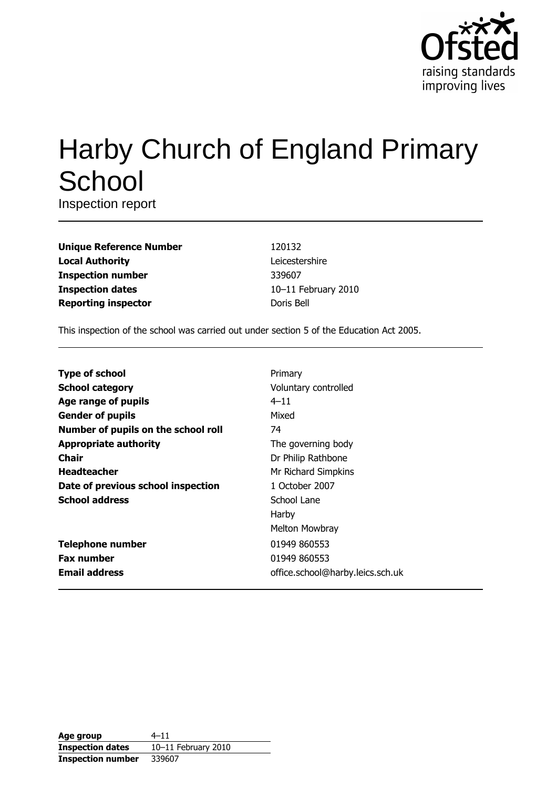

# Harby Church of England Primary School

Inspection report

| <b>Unique Reference Number</b> |
|--------------------------------|
| <b>Local Authority</b>         |
| <b>Inspection number</b>       |
| <b>Inspection dates</b>        |
| <b>Reporting inspector</b>     |

120132 Leicestershire 339607 10-11 February 2010 Doris Bell

This inspection of the school was carried out under section 5 of the Education Act 2005.

| <b>Type of school</b>               | Primary                          |
|-------------------------------------|----------------------------------|
| <b>School category</b>              | Voluntary controlled             |
| Age range of pupils                 | $4 - 11$                         |
| <b>Gender of pupils</b>             | Mixed                            |
| Number of pupils on the school roll | 74                               |
| <b>Appropriate authority</b>        | The governing body               |
| Chair                               | Dr Philip Rathbone               |
| <b>Headteacher</b>                  | Mr Richard Simpkins              |
| Date of previous school inspection  | 1 October 2007                   |
| <b>School address</b>               | School Lane                      |
|                                     | Harby                            |
|                                     | Melton Mowbray                   |
| <b>Telephone number</b>             | 01949 860553                     |
| <b>Fax number</b>                   | 01949 860553                     |
| <b>Email address</b>                | office.school@harby.leics.sch.uk |

| Age group                | $4 - 11$            |
|--------------------------|---------------------|
| <b>Inspection dates</b>  | 10-11 February 2010 |
| <b>Inspection number</b> | 339607              |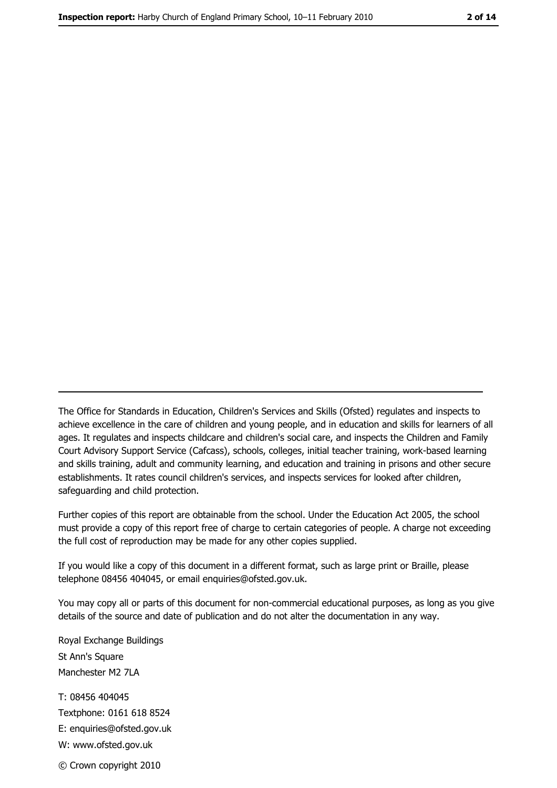The Office for Standards in Education, Children's Services and Skills (Ofsted) regulates and inspects to achieve excellence in the care of children and young people, and in education and skills for learners of all ages. It regulates and inspects childcare and children's social care, and inspects the Children and Family Court Advisory Support Service (Cafcass), schools, colleges, initial teacher training, work-based learning and skills training, adult and community learning, and education and training in prisons and other secure establishments. It rates council children's services, and inspects services for looked after children, safequarding and child protection.

Further copies of this report are obtainable from the school. Under the Education Act 2005, the school must provide a copy of this report free of charge to certain categories of people. A charge not exceeding the full cost of reproduction may be made for any other copies supplied.

If you would like a copy of this document in a different format, such as large print or Braille, please telephone 08456 404045, or email enquiries@ofsted.gov.uk.

You may copy all or parts of this document for non-commercial educational purposes, as long as you give details of the source and date of publication and do not alter the documentation in any way.

Royal Exchange Buildings St Ann's Square Manchester M2 7LA T: 08456 404045 Textphone: 0161 618 8524 E: enquiries@ofsted.gov.uk W: www.ofsted.gov.uk © Crown copyright 2010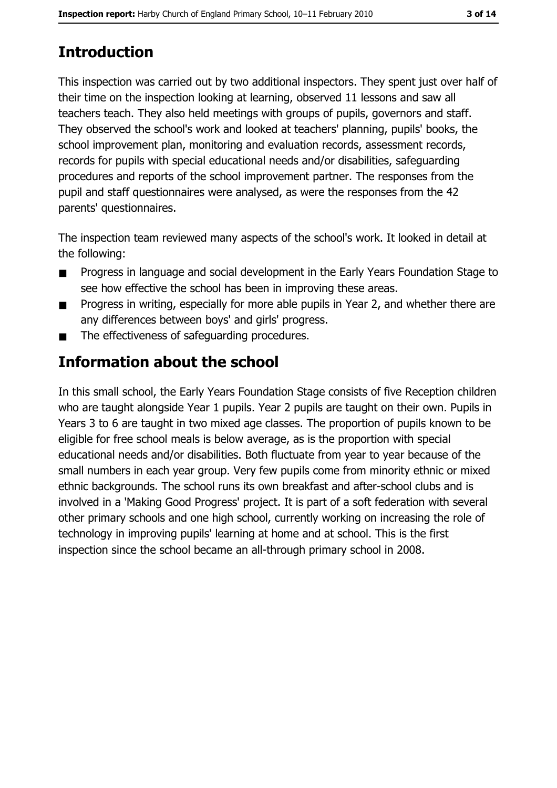# **Introduction**

This inspection was carried out by two additional inspectors. They spent just over half of their time on the inspection looking at learning, observed 11 lessons and saw all teachers teach. They also held meetings with groups of pupils, governors and staff. They observed the school's work and looked at teachers' planning, pupils' books, the school improvement plan, monitoring and evaluation records, assessment records, records for pupils with special educational needs and/or disabilities, safeguarding procedures and reports of the school improvement partner. The responses from the pupil and staff questionnaires were analysed, as were the responses from the 42 parents' questionnaires.

The inspection team reviewed many aspects of the school's work. It looked in detail at the following:

- Progress in language and social development in the Early Years Foundation Stage to  $\blacksquare$ see how effective the school has been in improving these areas.
- Progress in writing, especially for more able pupils in Year 2, and whether there are  $\blacksquare$ any differences between boys' and girls' progress.
- The effectiveness of safeguarding procedures.  $\blacksquare$

# Information about the school

In this small school, the Early Years Foundation Stage consists of five Reception children who are taught alongside Year 1 pupils. Year 2 pupils are taught on their own. Pupils in Years 3 to 6 are taught in two mixed age classes. The proportion of pupils known to be eligible for free school meals is below average, as is the proportion with special educational needs and/or disabilities. Both fluctuate from year to year because of the small numbers in each year group. Very few pupils come from minority ethnic or mixed ethnic backgrounds. The school runs its own breakfast and after-school clubs and is involved in a 'Making Good Progress' project. It is part of a soft federation with several other primary schools and one high school, currently working on increasing the role of technology in improving pupils' learning at home and at school. This is the first inspection since the school became an all-through primary school in 2008.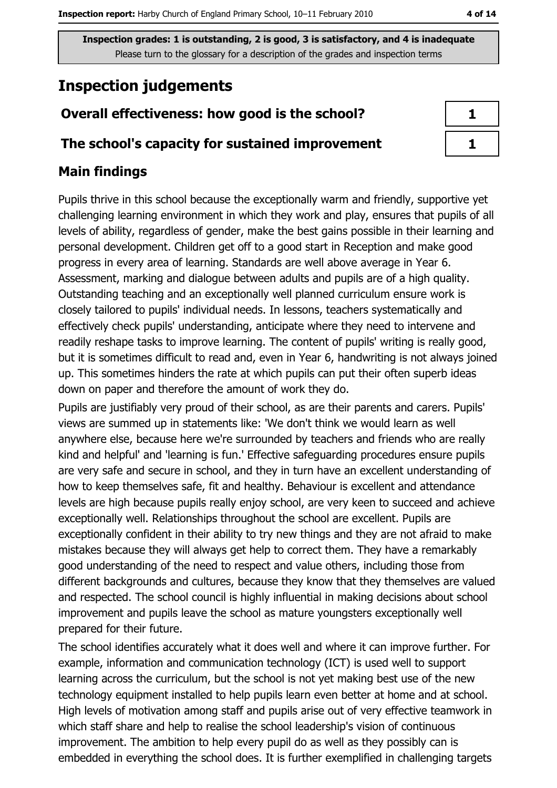# **Inspection judgements**

## Overall effectiveness: how good is the school?

#### The school's capacity for sustained improvement

### **Main findings**

Pupils thrive in this school because the exceptionally warm and friendly, supportive yet challenging learning environment in which they work and play, ensures that pupils of all levels of ability, regardless of gender, make the best gains possible in their learning and personal development. Children get off to a good start in Reception and make good progress in every area of learning. Standards are well above average in Year 6. Assessment, marking and dialogue between adults and pupils are of a high quality. Outstanding teaching and an exceptionally well planned curriculum ensure work is closely tailored to pupils' individual needs. In lessons, teachers systematically and effectively check pupils' understanding, anticipate where they need to intervene and readily reshape tasks to improve learning. The content of pupils' writing is really good, but it is sometimes difficult to read and, even in Year 6, handwriting is not always joined up. This sometimes hinders the rate at which pupils can put their often superb ideas down on paper and therefore the amount of work they do.

Pupils are justifiably very proud of their school, as are their parents and carers. Pupils' views are summed up in statements like: 'We don't think we would learn as well anywhere else, because here we're surrounded by teachers and friends who are really kind and helpful' and 'learning is fun.' Effective safeguarding procedures ensure pupils are very safe and secure in school, and they in turn have an excellent understanding of how to keep themselves safe, fit and healthy. Behaviour is excellent and attendance levels are high because pupils really enjoy school, are very keen to succeed and achieve exceptionally well. Relationships throughout the school are excellent. Pupils are exceptionally confident in their ability to try new things and they are not afraid to make mistakes because they will always get help to correct them. They have a remarkably good understanding of the need to respect and value others, including those from different backgrounds and cultures, because they know that they themselves are valued and respected. The school council is highly influential in making decisions about school improvement and pupils leave the school as mature youngsters exceptionally well prepared for their future.

The school identifies accurately what it does well and where it can improve further. For example, information and communication technology (ICT) is used well to support learning across the curriculum, but the school is not yet making best use of the new technology equipment installed to help pupils learn even better at home and at school. High levels of motivation among staff and pupils arise out of very effective teamwork in which staff share and help to realise the school leadership's vision of continuous improvement. The ambition to help every pupil do as well as they possibly can is embedded in everything the school does. It is further exemplified in challenging targets

| ı    |  |
|------|--|
| a ka |  |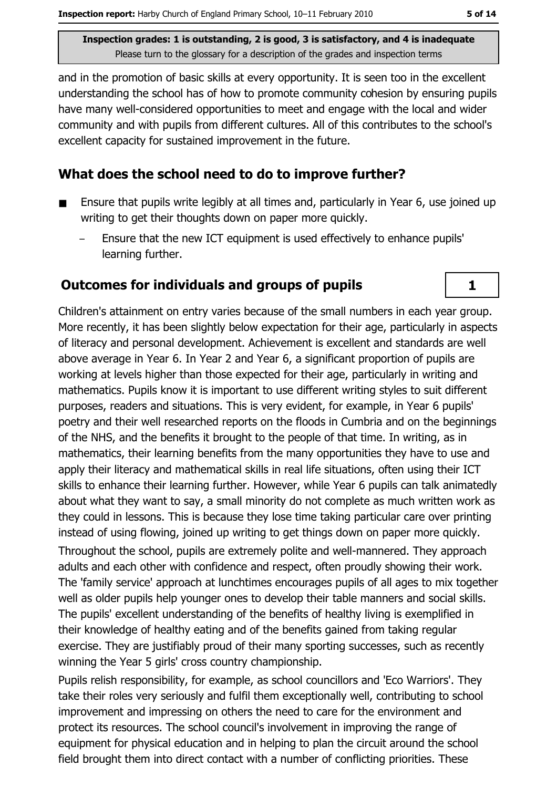and in the promotion of basic skills at every opportunity. It is seen too in the excellent understanding the school has of how to promote community cohesion by ensuring pupils have many well-considered opportunities to meet and engage with the local and wider community and with pupils from different cultures. All of this contributes to the school's excellent capacity for sustained improvement in the future.

#### What does the school need to do to improve further?

- Ensure that pupils write legibly at all times and, particularly in Year 6, use joined up writing to get their thoughts down on paper more quickly.
	- Ensure that the new ICT equipment is used effectively to enhance pupils' learning further.

#### **Outcomes for individuals and groups of pupils**

Children's attainment on entry varies because of the small numbers in each year group. More recently, it has been slightly below expectation for their age, particularly in aspects of literacy and personal development. Achievement is excellent and standards are well above average in Year 6. In Year 2 and Year 6, a significant proportion of pupils are working at levels higher than those expected for their age, particularly in writing and mathematics. Pupils know it is important to use different writing styles to suit different purposes, readers and situations. This is very evident, for example, in Year 6 pupils' poetry and their well researched reports on the floods in Cumbria and on the beginnings of the NHS, and the benefits it brought to the people of that time. In writing, as in mathematics, their learning benefits from the many opportunities they have to use and apply their literacy and mathematical skills in real life situations, often using their ICT skills to enhance their learning further. However, while Year 6 pupils can talk animatedly about what they want to say, a small minority do not complete as much written work as they could in lessons. This is because they lose time taking particular care over printing instead of using flowing, joined up writing to get things down on paper more quickly. Throughout the school, pupils are extremely polite and well-mannered. They approach adults and each other with confidence and respect, often proudly showing their work. The 'family service' approach at lunchtimes encourages pupils of all ages to mix together well as older pupils help younger ones to develop their table manners and social skills. The pupils' excellent understanding of the benefits of healthy living is exemplified in their knowledge of healthy eating and of the benefits gained from taking regular exercise. They are justifiably proud of their many sporting successes, such as recently winning the Year 5 girls' cross country championship.

Pupils relish responsibility, for example, as school councillors and 'Eco Warriors'. They take their roles very seriously and fulfil them exceptionally well, contributing to school improvement and impressing on others the need to care for the environment and protect its resources. The school council's involvement in improving the range of equipment for physical education and in helping to plan the circuit around the school field brought them into direct contact with a number of conflicting priorities. These

 $\mathbf{1}$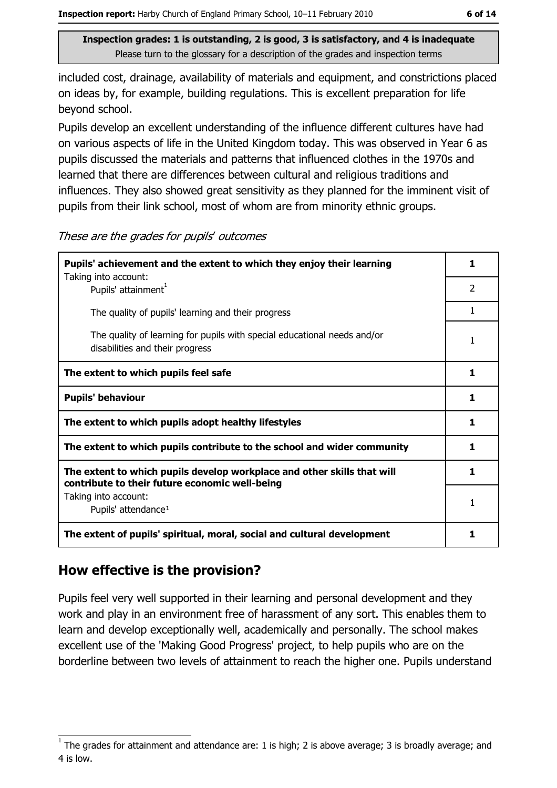included cost, drainage, availability of materials and equipment, and constrictions placed on ideas by, for example, building regulations. This is excellent preparation for life beyond school.

Pupils develop an excellent understanding of the influence different cultures have had on various aspects of life in the United Kingdom today. This was observed in Year 6 as pupils discussed the materials and patterns that influenced clothes in the 1970s and learned that there are differences between cultural and religious traditions and influences. They also showed great sensitivity as they planned for the imminent visit of pupils from their link school, most of whom are from minority ethnic groups.

These are the grades for pupils' outcomes

| Pupils' achievement and the extent to which they enjoy their learning                                                     |    |
|---------------------------------------------------------------------------------------------------------------------------|----|
| Taking into account:<br>Pupils' attainment <sup>1</sup>                                                                   | 2  |
| The quality of pupils' learning and their progress                                                                        | 1  |
| The quality of learning for pupils with special educational needs and/or<br>disabilities and their progress               | 1  |
| The extent to which pupils feel safe                                                                                      | 1  |
| <b>Pupils' behaviour</b>                                                                                                  | 1  |
| The extent to which pupils adopt healthy lifestyles                                                                       | 1  |
| The extent to which pupils contribute to the school and wider community                                                   | 1  |
| The extent to which pupils develop workplace and other skills that will<br>contribute to their future economic well-being | 1. |
| Taking into account:<br>Pupils' attendance <sup>1</sup>                                                                   | 1  |
| The extent of pupils' spiritual, moral, social and cultural development                                                   | 1  |

### How effective is the provision?

Pupils feel very well supported in their learning and personal development and they work and play in an environment free of harassment of any sort. This enables them to learn and develop exceptionally well, academically and personally. The school makes excellent use of the 'Making Good Progress' project, to help pupils who are on the borderline between two levels of attainment to reach the higher one. Pupils understand

The grades for attainment and attendance are: 1 is high; 2 is above average; 3 is broadly average; and 4 is low.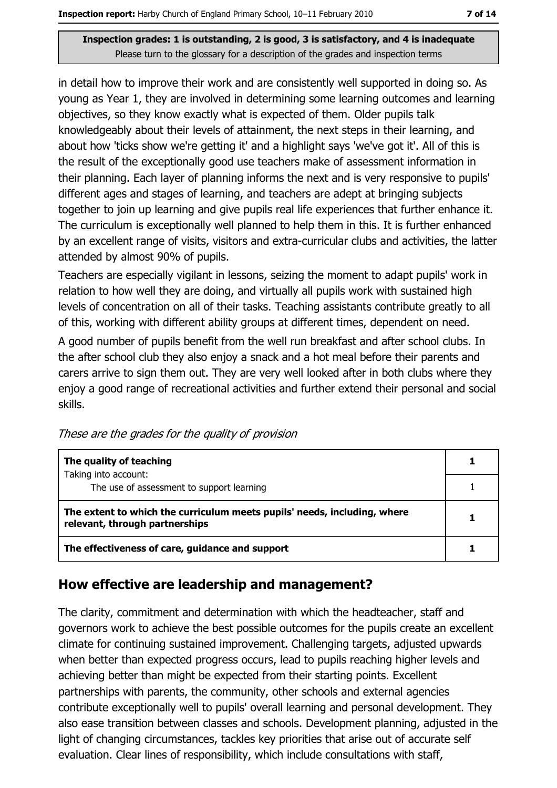in detail how to improve their work and are consistently well supported in doing so. As young as Year 1, they are involved in determining some learning outcomes and learning objectives, so they know exactly what is expected of them. Older pupils talk knowledgeably about their levels of attainment, the next steps in their learning, and about how 'ticks show we're getting it' and a highlight says 'we've got it'. All of this is the result of the exceptionally good use teachers make of assessment information in their planning. Each layer of planning informs the next and is very responsive to pupils' different ages and stages of learning, and teachers are adept at bringing subjects together to join up learning and give pupils real life experiences that further enhance it. The curriculum is exceptionally well planned to help them in this. It is further enhanced by an excellent range of visits, visitors and extra-curricular clubs and activities, the latter attended by almost 90% of pupils.

Teachers are especially vigilant in lessons, seizing the moment to adapt pupils' work in relation to how well they are doing, and virtually all pupils work with sustained high levels of concentration on all of their tasks. Teaching assistants contribute greatly to all of this, working with different ability groups at different times, dependent on need.

A good number of pupils benefit from the well run breakfast and after school clubs. In the after school club they also enjoy a snack and a hot meal before their parents and carers arrive to sign them out. They are very well looked after in both clubs where they enjoy a good range of recreational activities and further extend their personal and social skills.

| The quality of teaching                                                                                    |  |
|------------------------------------------------------------------------------------------------------------|--|
| Taking into account:<br>The use of assessment to support learning                                          |  |
|                                                                                                            |  |
| The extent to which the curriculum meets pupils' needs, including, where<br>relevant, through partnerships |  |
| The effectiveness of care, guidance and support                                                            |  |

These are the grades for the quality of provision

### How effective are leadership and management?

The clarity, commitment and determination with which the headteacher, staff and governors work to achieve the best possible outcomes for the pupils create an excellent climate for continuing sustained improvement. Challenging targets, adjusted upwards when better than expected progress occurs, lead to pupils reaching higher levels and achieving better than might be expected from their starting points. Excellent partnerships with parents, the community, other schools and external agencies contribute exceptionally well to pupils' overall learning and personal development. They also ease transition between classes and schools. Development planning, adjusted in the light of changing circumstances, tackles key priorities that arise out of accurate self evaluation. Clear lines of responsibility, which include consultations with staff,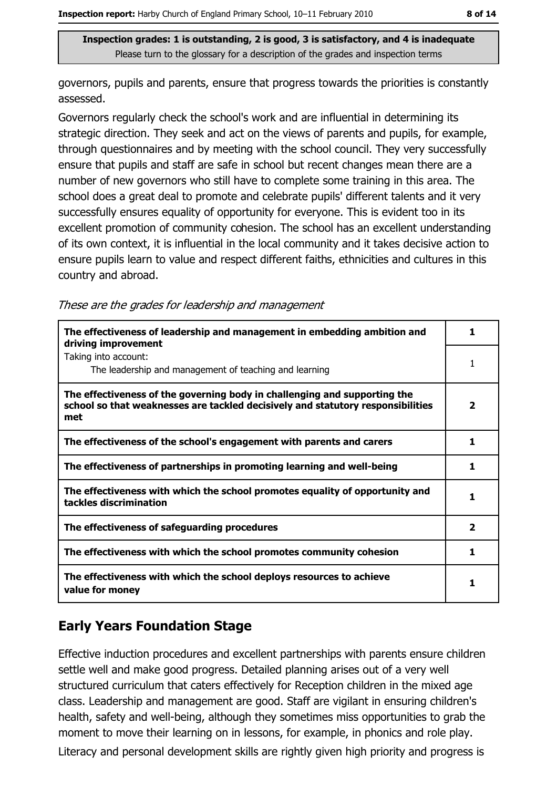governors, pupils and parents, ensure that progress towards the priorities is constantly assessed.

Governors regularly check the school's work and are influential in determining its strategic direction. They seek and act on the views of parents and pupils, for example, through questionnaires and by meeting with the school council. They very successfully ensure that pupils and staff are safe in school but recent changes mean there are a number of new governors who still have to complete some training in this area. The school does a great deal to promote and celebrate pupils' different talents and it very successfully ensures equality of opportunity for everyone. This is evident too in its excellent promotion of community cohesion. The school has an excellent understanding of its own context, it is influential in the local community and it takes decisive action to ensure pupils learn to value and respect different faiths, ethnicities and cultures in this country and abroad.

These are the grades for leadership and management

| The effectiveness of leadership and management in embedding ambition and<br>driving improvement                                                                     | 1                       |
|---------------------------------------------------------------------------------------------------------------------------------------------------------------------|-------------------------|
| Taking into account:<br>The leadership and management of teaching and learning                                                                                      | 1                       |
| The effectiveness of the governing body in challenging and supporting the<br>school so that weaknesses are tackled decisively and statutory responsibilities<br>met | $\overline{\mathbf{2}}$ |
| The effectiveness of the school's engagement with parents and carers                                                                                                | 1                       |
| The effectiveness of partnerships in promoting learning and well-being                                                                                              | 1.                      |
| The effectiveness with which the school promotes equality of opportunity and<br>tackles discrimination                                                              | 1                       |
| The effectiveness of safeguarding procedures                                                                                                                        | $\overline{\mathbf{2}}$ |
| The effectiveness with which the school promotes community cohesion                                                                                                 | 1                       |
| The effectiveness with which the school deploys resources to achieve<br>value for money                                                                             |                         |

## **Early Years Foundation Stage**

Effective induction procedures and excellent partnerships with parents ensure children settle well and make good progress. Detailed planning arises out of a very well structured curriculum that caters effectively for Reception children in the mixed age class. Leadership and management are good. Staff are vigilant in ensuring children's health, safety and well-being, although they sometimes miss opportunities to grab the moment to move their learning on in lessons, for example, in phonics and role play. Literacy and personal development skills are rightly given high priority and progress is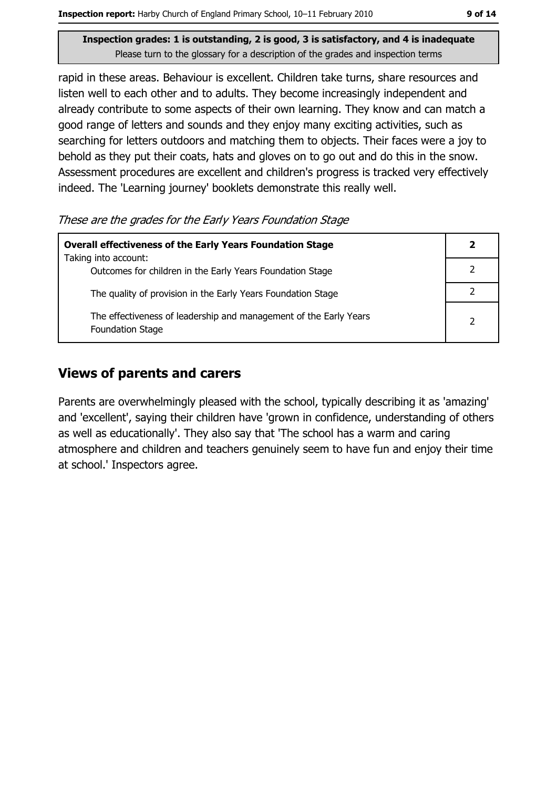rapid in these areas. Behaviour is excellent. Children take turns, share resources and listen well to each other and to adults. They become increasingly independent and already contribute to some aspects of their own learning. They know and can match a good range of letters and sounds and they enjoy many exciting activities, such as searching for letters outdoors and matching them to objects. Their faces were a joy to behold as they put their coats, hats and gloves on to go out and do this in the snow. Assessment procedures are excellent and children's progress is tracked very effectively indeed. The 'Learning journey' booklets demonstrate this really well.

These are the grades for the Early Years Foundation Stage

| <b>Overall effectiveness of the Early Years Foundation Stage</b>                             |  |
|----------------------------------------------------------------------------------------------|--|
| Taking into account:<br>Outcomes for children in the Early Years Foundation Stage            |  |
| The quality of provision in the Early Years Foundation Stage                                 |  |
| The effectiveness of leadership and management of the Early Years<br><b>Foundation Stage</b> |  |

## **Views of parents and carers**

Parents are overwhelmingly pleased with the school, typically describing it as 'amazing' and 'excellent', saying their children have 'grown in confidence, understanding of others as well as educationally'. They also say that 'The school has a warm and caring atmosphere and children and teachers genuinely seem to have fun and enjoy their time at school.' Inspectors agree.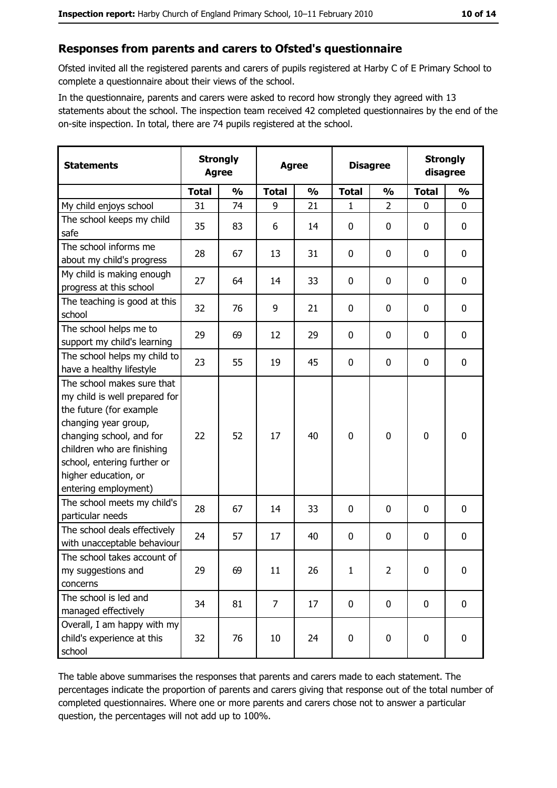### Responses from parents and carers to Ofsted's questionnaire

Ofsted invited all the registered parents and carers of pupils registered at Harby C of E Primary School to complete a questionnaire about their views of the school.

In the questionnaire, parents and carers were asked to record how strongly they agreed with 13 statements about the school. The inspection team received 42 completed questionnaires by the end of the on-site inspection. In total, there are 74 pupils registered at the school.

| <b>Statements</b>                                                                                                                                                                                                                                       | <b>Strongly</b><br><b>Agree</b> |               | <b>Agree</b>   |               | <b>Disagree</b> |               | <b>Strongly</b><br>disagree |               |
|---------------------------------------------------------------------------------------------------------------------------------------------------------------------------------------------------------------------------------------------------------|---------------------------------|---------------|----------------|---------------|-----------------|---------------|-----------------------------|---------------|
|                                                                                                                                                                                                                                                         | <b>Total</b>                    | $\frac{0}{0}$ | <b>Total</b>   | $\frac{0}{0}$ | <b>Total</b>    | $\frac{1}{2}$ | <b>Total</b>                | $\frac{1}{2}$ |
| My child enjoys school                                                                                                                                                                                                                                  | 31                              | 74            | 9              | 21            | 1               | 2             | $\Omega$                    | $\Omega$      |
| The school keeps my child<br>safe                                                                                                                                                                                                                       | 35                              | 83            | 6              | 14            | $\mathbf 0$     | 0             | 0                           | $\mathbf 0$   |
| The school informs me<br>about my child's progress                                                                                                                                                                                                      | 28                              | 67            | 13             | 31            | $\mathbf 0$     | 0             | 0                           | $\mathbf 0$   |
| My child is making enough<br>progress at this school                                                                                                                                                                                                    | 27                              | 64            | 14             | 33            | $\mathbf 0$     | 0             | 0                           | 0             |
| The teaching is good at this<br>school                                                                                                                                                                                                                  | 32                              | 76            | 9              | 21            | $\mathbf 0$     | 0             | 0                           | $\mathbf 0$   |
| The school helps me to<br>support my child's learning                                                                                                                                                                                                   | 29                              | 69            | 12             | 29            | $\mathbf 0$     | 0             | 0                           | 0             |
| The school helps my child to<br>have a healthy lifestyle                                                                                                                                                                                                | 23                              | 55            | 19             | 45            | $\mathbf 0$     | 0             | 0                           | $\mathbf 0$   |
| The school makes sure that<br>my child is well prepared for<br>the future (for example<br>changing year group,<br>changing school, and for<br>children who are finishing<br>school, entering further or<br>higher education, or<br>entering employment) | 22                              | 52            | 17             | 40            | $\mathbf 0$     | 0             | 0                           | $\mathbf 0$   |
| The school meets my child's<br>particular needs                                                                                                                                                                                                         | 28                              | 67            | 14             | 33            | $\mathbf 0$     | 0             | 0                           | $\mathbf 0$   |
| The school deals effectively<br>with unacceptable behaviour                                                                                                                                                                                             | 24                              | 57            | 17             | 40            | $\mathbf 0$     | $\mathbf 0$   | 0                           | $\mathbf 0$   |
| The school takes account of<br>my suggestions and<br>concerns                                                                                                                                                                                           | 29                              | 69            | 11             | 26            | $\mathbf 1$     | 2             | 0                           | 0             |
| The school is led and<br>managed effectively                                                                                                                                                                                                            | 34                              | 81            | $\overline{7}$ | 17            | $\mathbf 0$     | 0             | $\bf{0}$                    | $\mathbf 0$   |
| Overall, I am happy with my<br>child's experience at this<br>school                                                                                                                                                                                     | 32                              | 76            | 10             | 24            | $\pmb{0}$       | $\pmb{0}$     | $\mathbf 0$                 | $\mathbf 0$   |

The table above summarises the responses that parents and carers made to each statement. The percentages indicate the proportion of parents and carers giving that response out of the total number of completed questionnaires. Where one or more parents and carers chose not to answer a particular question, the percentages will not add up to 100%.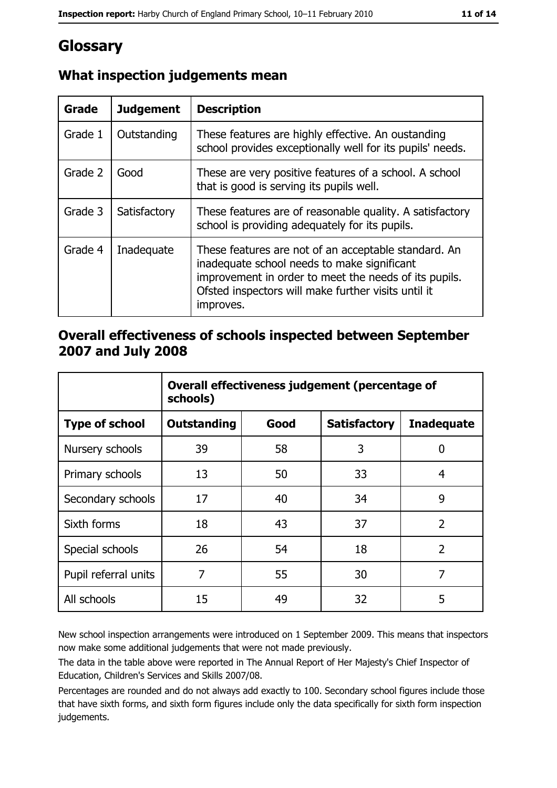# Glossary

| Grade   | <b>Judgement</b> | <b>Description</b>                                                                                                                                                                                                               |
|---------|------------------|----------------------------------------------------------------------------------------------------------------------------------------------------------------------------------------------------------------------------------|
| Grade 1 | Outstanding      | These features are highly effective. An oustanding<br>school provides exceptionally well for its pupils' needs.                                                                                                                  |
| Grade 2 | Good             | These are very positive features of a school. A school<br>that is good is serving its pupils well.                                                                                                                               |
| Grade 3 | Satisfactory     | These features are of reasonable quality. A satisfactory<br>school is providing adequately for its pupils.                                                                                                                       |
| Grade 4 | Inadequate       | These features are not of an acceptable standard. An<br>inadequate school needs to make significant<br>improvement in order to meet the needs of its pupils.<br>Ofsted inspectors will make further visits until it<br>improves. |

## What inspection judgements mean

#### Overall effectiveness of schools inspected between September 2007 and July 2008

|                       | Overall effectiveness judgement (percentage of<br>schools) |      |                     |                   |
|-----------------------|------------------------------------------------------------|------|---------------------|-------------------|
| <b>Type of school</b> | <b>Outstanding</b>                                         | Good | <b>Satisfactory</b> | <b>Inadequate</b> |
| Nursery schools       | 39                                                         | 58   | 3                   | 0                 |
| Primary schools       | 13                                                         | 50   | 33                  | 4                 |
| Secondary schools     | 17                                                         | 40   | 34                  | 9                 |
| Sixth forms           | 18                                                         | 43   | 37                  | $\overline{2}$    |
| Special schools       | 26                                                         | 54   | 18                  | $\overline{2}$    |
| Pupil referral units  | 7                                                          | 55   | 30                  | 7                 |
| All schools           | 15                                                         | 49   | 32                  | 5                 |

New school inspection arrangements were introduced on 1 September 2009. This means that inspectors now make some additional judgements that were not made previously.

The data in the table above were reported in The Annual Report of Her Majesty's Chief Inspector of Education, Children's Services and Skills 2007/08.

Percentages are rounded and do not always add exactly to 100. Secondary school figures include those that have sixth forms, and sixth form figures include only the data specifically for sixth form inspection judgements.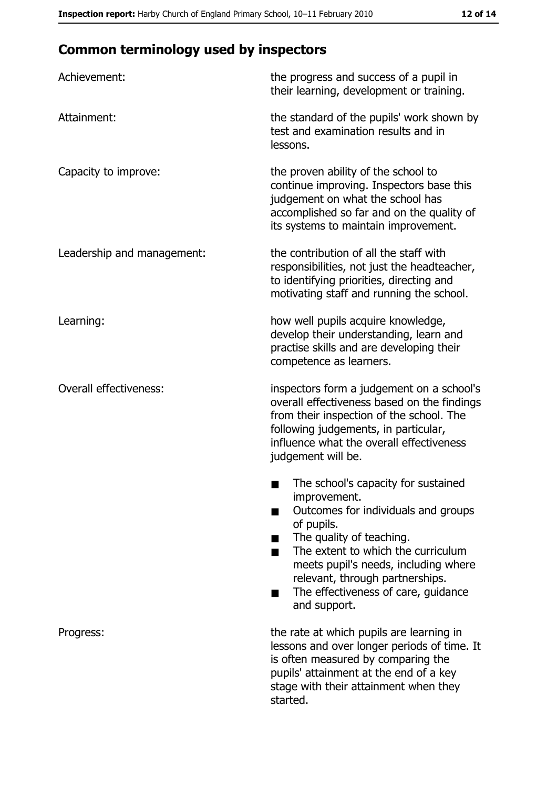# **Common terminology used by inspectors**

| Achievement:                  | the progress and success of a pupil in<br>their learning, development or training.                                                                                                                                                                                                                           |
|-------------------------------|--------------------------------------------------------------------------------------------------------------------------------------------------------------------------------------------------------------------------------------------------------------------------------------------------------------|
| Attainment:                   | the standard of the pupils' work shown by<br>test and examination results and in<br>lessons.                                                                                                                                                                                                                 |
| Capacity to improve:          | the proven ability of the school to<br>continue improving. Inspectors base this<br>judgement on what the school has<br>accomplished so far and on the quality of<br>its systems to maintain improvement.                                                                                                     |
| Leadership and management:    | the contribution of all the staff with<br>responsibilities, not just the headteacher,<br>to identifying priorities, directing and<br>motivating staff and running the school.                                                                                                                                |
| Learning:                     | how well pupils acquire knowledge,<br>develop their understanding, learn and<br>practise skills and are developing their<br>competence as learners.                                                                                                                                                          |
| <b>Overall effectiveness:</b> | inspectors form a judgement on a school's<br>overall effectiveness based on the findings<br>from their inspection of the school. The<br>following judgements, in particular,<br>influence what the overall effectiveness<br>judgement will be.                                                               |
|                               | The school's capacity for sustained<br>improvement.<br>Outcomes for individuals and groups<br>of pupils.<br>The quality of teaching.<br>The extent to which the curriculum<br>meets pupil's needs, including where<br>relevant, through partnerships.<br>The effectiveness of care, guidance<br>and support. |
| Progress:                     | the rate at which pupils are learning in<br>lessons and over longer periods of time. It<br>is often measured by comparing the<br>pupils' attainment at the end of a key<br>stage with their attainment when they<br>started.                                                                                 |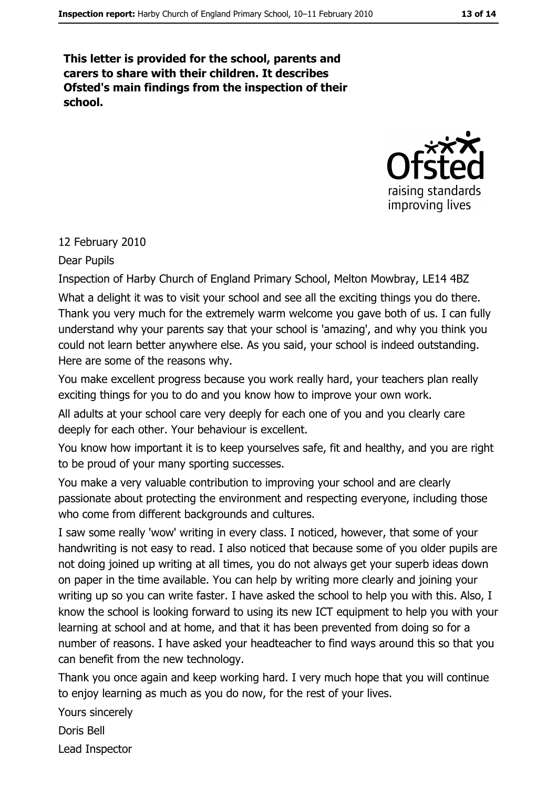This letter is provided for the school, parents and carers to share with their children. It describes Ofsted's main findings from the inspection of their school.



#### 12 February 2010

#### Dear Pupils

Inspection of Harby Church of England Primary School, Melton Mowbray, LE14 4BZ What a delight it was to visit your school and see all the exciting things you do there. Thank you very much for the extremely warm welcome you gave both of us. I can fully understand why your parents say that your school is 'amazing', and why you think you could not learn better anywhere else. As you said, your school is indeed outstanding. Here are some of the reasons why.

You make excellent progress because you work really hard, your teachers plan really exciting things for you to do and you know how to improve your own work.

All adults at your school care very deeply for each one of you and you clearly care deeply for each other. Your behaviour is excellent.

You know how important it is to keep yourselves safe, fit and healthy, and you are right to be proud of your many sporting successes.

You make a very valuable contribution to improving your school and are clearly passionate about protecting the environment and respecting everyone, including those who come from different backgrounds and cultures.

I saw some really 'wow' writing in every class. I noticed, however, that some of your handwriting is not easy to read. I also noticed that because some of you older pupils are not doing joined up writing at all times, you do not always get your superb ideas down on paper in the time available. You can help by writing more clearly and joining your writing up so you can write faster. I have asked the school to help you with this. Also, I know the school is looking forward to using its new ICT equipment to help you with your learning at school and at home, and that it has been prevented from doing so for a number of reasons. I have asked your headteacher to find ways around this so that you can benefit from the new technology.

Thank you once again and keep working hard. I very much hope that you will continue to enjoy learning as much as you do now, for the rest of your lives.

Yours sincerely

Doris Bell Lead Inspector